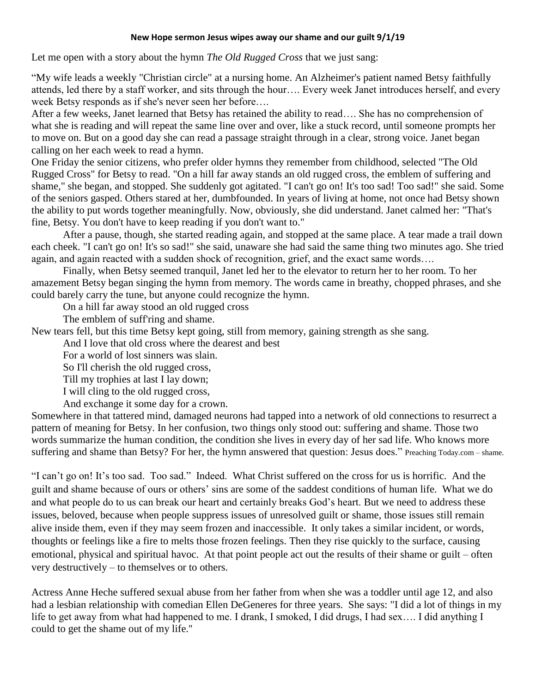## **New Hope sermon Jesus wipes away our shame and our guilt 9/1/19**

Let me open with a story about the hymn *The Old Rugged Cross* that we just sang:

"My wife leads a weekly "Christian circle" at a nursing home. An Alzheimer's patient named Betsy faithfully attends, led there by a staff worker, and sits through the hour…. Every week Janet introduces herself, and every week Betsy responds as if she's never seen her before….

After a few weeks, Janet learned that Betsy has retained the ability to read…. She has no comprehension of what she is reading and will repeat the same line over and over, like a stuck record, until someone prompts her to move on. But on a good day she can read a passage straight through in a clear, strong voice. Janet began calling on her each week to read a hymn.

One Friday the senior citizens, who prefer older hymns they remember from childhood, selected "The Old Rugged Cross" for Betsy to read. "On a hill far away stands an old rugged cross, the emblem of suffering and shame," she began, and stopped. She suddenly got agitated. "I can't go on! It's too sad! Too sad!" she said. Some of the seniors gasped. Others stared at her, dumbfounded. In years of living at home, not once had Betsy shown the ability to put words together meaningfully. Now, obviously, she did understand. Janet calmed her: "That's fine, Betsy. You don't have to keep reading if you don't want to."

After a pause, though, she started reading again, and stopped at the same place. A tear made a trail down each cheek. "I can't go on! It's so sad!" she said, unaware she had said the same thing two minutes ago. She tried again, and again reacted with a sudden shock of recognition, grief, and the exact same words….

Finally, when Betsy seemed tranquil, Janet led her to the elevator to return her to her room. To her amazement Betsy began singing the hymn from memory. The words came in breathy, chopped phrases, and she could barely carry the tune, but anyone could recognize the hymn.

On a hill far away stood an old rugged cross

The emblem of suff'ring and shame.

New tears fell, but this time Betsy kept going, still from memory, gaining strength as she sang.

And I love that old cross where the dearest and best

For a world of lost sinners was slain.

So I'll cherish the old rugged cross,

Till my trophies at last I lay down;

I will cling to the old rugged cross,

And exchange it some day for a crown.

Somewhere in that tattered mind, damaged neurons had tapped into a network of old connections to resurrect a pattern of meaning for Betsy. In her confusion, two things only stood out: suffering and shame. Those two words summarize the human condition, the condition she lives in every day of her sad life. Who knows more suffering and shame than Betsy? For her, the hymn answered that question: Jesus does." Preaching Today.com – shame.

"I can't go on! It's too sad. Too sad." Indeed. What Christ suffered on the cross for us is horrific. And the guilt and shame because of ours or others' sins are some of the saddest conditions of human life. What we do and what people do to us can break our heart and certainly breaks God's heart. But we need to address these issues, beloved, because when people suppress issues of unresolved guilt or shame, those issues still remain alive inside them, even if they may seem frozen and inaccessible. It only takes a similar incident, or words, thoughts or feelings like a fire to melts those frozen feelings. Then they rise quickly to the surface, causing emotional, physical and spiritual havoc. At that point people act out the results of their shame or guilt – often very destructively – to themselves or to others.

Actress Anne Heche suffered sexual abuse from her father from when she was a toddler until age 12, and also had a lesbian relationship with comedian Ellen DeGeneres for three years. She says: "I did a lot of things in my life to get away from what had happened to me. I drank, I smoked, I did drugs, I had sex…. I did anything I could to get the shame out of my life.''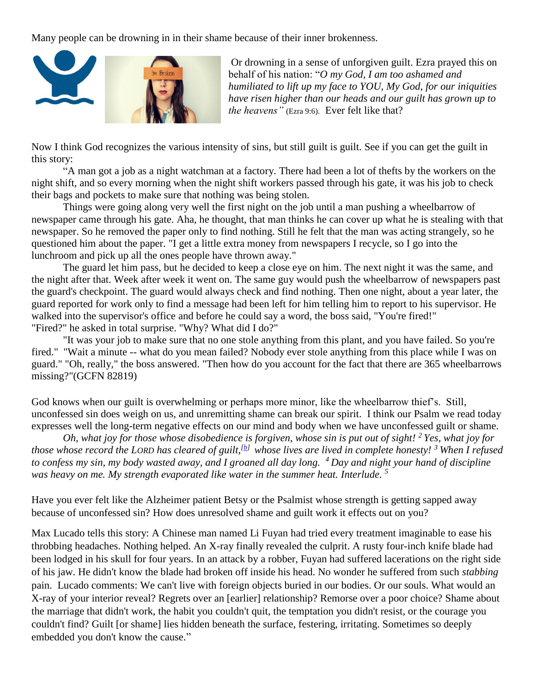Many people can be drowning in in their shame because of their inner brokenness.



Or drowning in a sense of unforgiven guilt. Ezra prayed this on behalf of his nation: "*O my God, I am too ashamed and humiliated to lift up my face to YOU, My God, for our iniquities have risen higher than our heads and our guilt has grown up to the heavens"* (Ezra 9:6). Ever felt like that?

Now I think God recognizes the various intensity of sins, but still guilt is guilt. See if you can get the guilt in this story:

"A man got a job as a night watchman at a factory. There had been a lot of thefts by the workers on the night shift, and so every morning when the night shift workers passed through his gate, it was his job to check their bags and pockets to make sure that nothing was being stolen.

Things were going along very well the first night on the job until a man pushing a wheelbarrow of newspaper came through his gate. Aha, he thought, that man thinks he can cover up what he is stealing with that newspaper. So he removed the paper only to find nothing. Still he felt that the man was acting strangely, so he questioned him about the paper. "I get a little extra money from newspapers I recycle, so I go into the lunchroom and pick up all the ones people have thrown away."

The guard let him pass, but he decided to keep a close eye on him. The next night it was the same, and the night after that. Week after week it went on. The same guy would push the wheelbarrow of newspapers past the guard's checkpoint. The guard would always check and find nothing. Then one night, about a year later, the guard reported for work only to find a message had been left for him telling him to report to his supervisor. He walked into the supervisor's office and before he could say a word, the boss said, "You're fired!" "Fired?" he asked in total surprise. "Why? What did I do?"

"It was your job to make sure that no one stole anything from this plant, and you have failed. So you're fired." "Wait a minute -- what do you mean failed? Nobody ever stole anything from this place while I was on guard." "Oh, really," the boss answered. "Then how do you account for the fact that there are 365 wheelbarrows missing?"(GCFN 82819)

God knows when our guilt is overwhelming or perhaps more minor, like the wheelbarrow thief's. Still, unconfessed sin does weigh on us, and unremitting shame can break our spirit. I think our Psalm we read today expresses well the long-term negative effects on our mind and body when we have unconfessed guilt or shame.

*Oh, what joy for those whose disobedience is forgiven, whose sin is put out of sight! <sup>2</sup> Yes, what joy for those whose record the LORD has cleared of guilt,[\[b\]](https://www.biblegateway.com/passage/?search=Ps.+32&version=NLT#fen-NLT-14334b) whose lives are lived in complete honesty! <sup>3</sup> When I refused to confess my sin, my body wasted away, and I groaned all day long. <sup>4</sup> Day and night your hand of discipline was heavy on me. My strength evaporated like water in the summer heat. Interlude. 5*

Have you ever felt like the Alzheimer patient Betsy or the Psalmist whose strength is getting sapped away because of unconfessed sin? How does unresolved shame and guilt work it effects out on you?

Max Lucado tells this story: A Chinese man named Li Fuyan had tried every treatment imaginable to ease his throbbing headaches. Nothing helped. An X-ray finally revealed the culprit. A rusty four-inch knife blade had been lodged in his skull for four years. In an attack by a robber, Fuyan had suffered lacerations on the right side of his jaw. He didn't know the blade had broken off inside his head. No wonder he suffered from such *stabbing* pain. Lucado comments: We can't live with foreign objects buried in our bodies. Or our souls. What would an X-ray of your interior reveal? Regrets over an [earlier] relationship? Remorse over a poor choice? Shame about the marriage that didn't work, the habit you couldn't quit, the temptation you didn't resist, or the courage you couldn't find? Guilt [or shame] lies hidden beneath the surface, festering, irritating. Sometimes so deeply embedded you don't know the cause."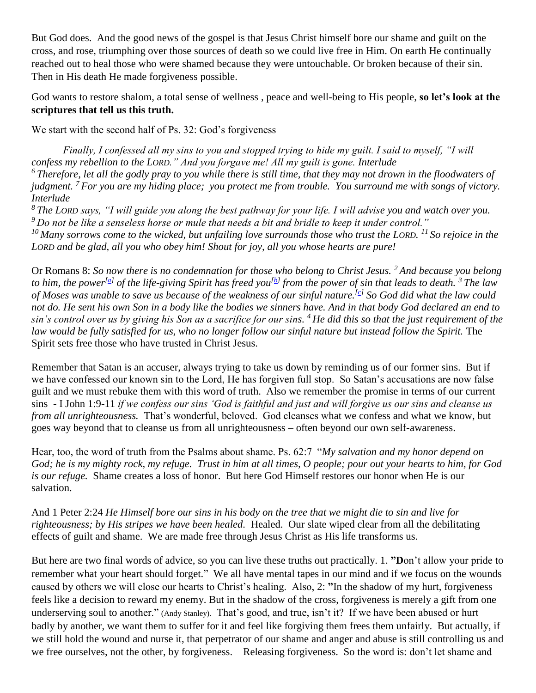But God does. And the good news of the gospel is that Jesus Christ himself bore our shame and guilt on the cross, and rose, triumphing over those sources of death so we could live free in Him. On earth He continually reached out to heal those who were shamed because they were untouchable. Or broken because of their sin. Then in His death He made forgiveness possible.

God wants to restore shalom, a total sense of wellness , peace and well-being to His people, **so let's look at the scriptures that tell us this truth.** 

We start with the second half of Ps. 32: God's forgiveness

*Finally, I confessed all my sins to you and stopped trying to hide my guilt. I said to myself, "I will confess my rebellion to the LORD." And you forgave me! All my guilt is gone. Interlude <sup>6</sup> Therefore, let all the godly pray to you while there is still time, that they may not drown in the floodwaters of judgment. <sup>7</sup> For you are my hiding place; you protect me from trouble. You surround me with songs of victory. Interlude*

*<sup>8</sup> The LORD says, "I will guide you along the best pathway for your life. I will advise you and watch over you. <sup>9</sup> Do not be like a senseless horse or mule that needs a bit and bridle to keep it under control."*

*<sup>10</sup> Many sorrows come to the wicked, but unfailing love surrounds those who trust the LORD. <sup>11</sup> So rejoice in the LORD and be glad, all you who obey him! Shout for joy, all you whose hearts are pure!*

Or Romans 8: *So now there is no condemnation for those who belong to Christ Jesus. <sup>2</sup> And because you belong to him, the power<sup>[\[a\]](https://www.biblegateway.com/passage/?search=Romans+8%3A1-4&version=NLT#fen-NLT-28080a)</sup> of the life-giving Spirit has freed you<sup>[\[b\]](https://www.biblegateway.com/passage/?search=Romans+8%3A1-4&version=NLT#fen-NLT-28080b)</sup> from the power of sin that leads to death. <sup>3</sup> The law of Moses was unable to save us because of the weakness of our sinful nature.[\[c\]](https://www.biblegateway.com/passage/?search=Romans+8%3A1-4&version=NLT#fen-NLT-28081c) So God did what the law could not do. He sent his own Son in a body like the bodies we sinners have. And in that body God declared an end to sin's control over us by giving his Son as a sacrifice for our sins. <sup>4</sup> He did this so that the just requirement of the law would be fully satisfied for us, who no longer follow our sinful nature but instead follow the Spirit.* The Spirit sets free those who have trusted in Christ Jesus.

Remember that Satan is an accuser, always trying to take us down by reminding us of our former sins. But if we have confessed our known sin to the Lord, He has forgiven full stop. So Satan's accusations are now false guilt and we must rebuke them with this word of truth. Also we remember the promise in terms of our current sins - I John 1:9-11 *if we confess our sins 'God is faithful and just and will forgive us our sins and cleanse us from all unrighteousness.* That's wonderful, beloved. God cleanses what we confess and what we know, but goes way beyond that to cleanse us from all unrighteousness – often beyond our own self-awareness.

Hear, too, the word of truth from the Psalms about shame. Ps. 62:7 "*My salvation and my honor depend on God; he is my mighty rock, my refuge. Trust in him at all times, O people; pour out your hearts to him, for God is our refuge.* Shame creates a loss of honor. But here God Himself restores our honor when He is our salvation.

And 1 Peter 2:24 *He Himself bore our sins in his body on the tree that we might die to sin and live for righteousness; by His stripes we have been healed.* Healed. Our slate wiped clear from all the debilitating effects of guilt and shame. We are made free through Jesus Christ as His life transforms us.

But here are two final words of advice, so you can live these truths out practically. 1. **"D**on't allow your pride to remember what your heart should forget." We all have mental tapes in our mind and if we focus on the wounds caused by others we will close our hearts to Christ's healing. Also, 2: **"**In the shadow of my hurt, forgiveness feels like a decision to reward my enemy. But in the shadow of the cross, forgiveness is merely a gift from one underserving soul to another." (Andy Stanley). That's good, and true, isn't it? If we have been abused or hurt badly by another, we want them to suffer for it and feel like forgiving them frees them unfairly. But actually, if we still hold the wound and nurse it, that perpetrator of our shame and anger and abuse is still controlling us and we free ourselves, not the other, by forgiveness. Releasing forgiveness. So the word is: don't let shame and